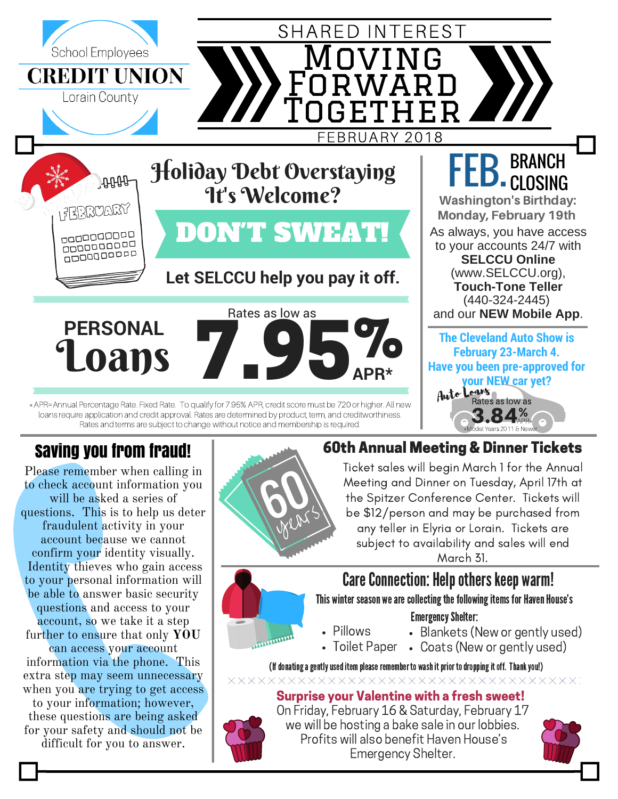

## Saving you from fraud!

Please remember when calling in to check account information you will be asked a series of questions. This is to help us deter fraudulent activity in your account because we cannot confirm your identity visually. Identity thieves who gain access to your personal information will be able to answer basic security questions and access to your account, so we take it a step further to ensure that only **YOU** can access your account information via the phone. This extra step may seem unnecessary when you are trying to get access to your information; however, these questions are being asked for your safety and should not be

difficult for you to answer.



**MARTINE** 

### 60th Annual Meeting & Dinner Tickets

Ticket sales will begin March 1 for the Annual Meeting and Dinner on Tuesday, April 17th at the Spitzer Conference Center. Tickets will be \$12/person and may be purchased from any teller in Elyria or Lorain. Tickets are subject to availability and sales will end March 31.

### Care Connection: Help others keep warm!

#### This winter season we are collecting the following items for Haven House's

#### **Emergency Shelter:**

- Blankets (New or gently used)
- Toilet Paper Coats (New or gently used)

(If donating a gently used item please remember to wash it prior to dropping it off. Thank you!) xxxxxxxxxxxxxxxxxxxxxxxxxxxx

Pillows

### Surprise your Valentine with a fresh sweet!



On Friday, February 16 & Saturday, February 17 we will be hosting a bake sale in our lobbies. Profits will also benefit Haven House's Emergency Shelter.